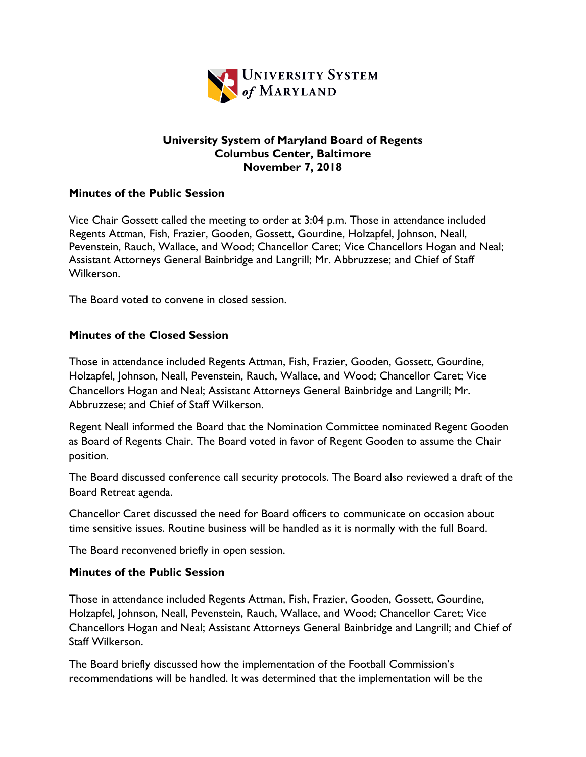

### **University System of Maryland Board of Regents Columbus Center, Baltimore November 7, 2018**

## **Minutes of the Public Session**

Vice Chair Gossett called the meeting to order at 3:04 p.m. Those in attendance included Regents Attman, Fish, Frazier, Gooden, Gossett, Gourdine, Holzapfel, Johnson, Neall, Pevenstein, Rauch, Wallace, and Wood; Chancellor Caret; Vice Chancellors Hogan and Neal; Assistant Attorneys General Bainbridge and Langrill; Mr. Abbruzzese; and Chief of Staff Wilkerson.

The Board voted to convene in closed session.

## **Minutes of the Closed Session**

Those in attendance included Regents Attman, Fish, Frazier, Gooden, Gossett, Gourdine, Holzapfel, Johnson, Neall, Pevenstein, Rauch, Wallace, and Wood; Chancellor Caret; Vice Chancellors Hogan and Neal; Assistant Attorneys General Bainbridge and Langrill; Mr. Abbruzzese; and Chief of Staff Wilkerson.

Regent Neall informed the Board that the Nomination Committee nominated Regent Gooden as Board of Regents Chair. The Board voted in favor of Regent Gooden to assume the Chair position.

The Board discussed conference call security protocols. The Board also reviewed a draft of the Board Retreat agenda.

Chancellor Caret discussed the need for Board officers to communicate on occasion about time sensitive issues. Routine business will be handled as it is normally with the full Board.

The Board reconvened briefly in open session.

#### **Minutes of the Public Session**

Those in attendance included Regents Attman, Fish, Frazier, Gooden, Gossett, Gourdine, Holzapfel, Johnson, Neall, Pevenstein, Rauch, Wallace, and Wood; Chancellor Caret; Vice Chancellors Hogan and Neal; Assistant Attorneys General Bainbridge and Langrill; and Chief of Staff Wilkerson.

The Board briefly discussed how the implementation of the Football Commission's recommendations will be handled. It was determined that the implementation will be the